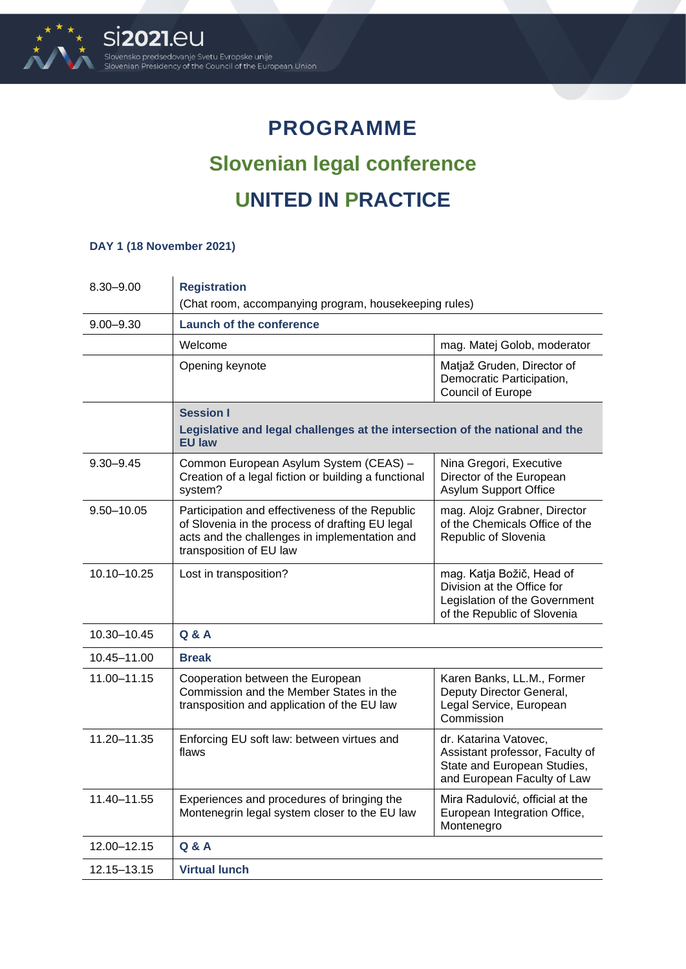

## **PROGRAMME Slovenian legal conference UNITED IN PRACTICE**

## **DAY 1 (18 November 2021)**

| 8.30-9.00      | <b>Registration</b>                                                                                                                                                            |                                                                                                                         |  |
|----------------|--------------------------------------------------------------------------------------------------------------------------------------------------------------------------------|-------------------------------------------------------------------------------------------------------------------------|--|
|                | (Chat room, accompanying program, housekeeping rules)                                                                                                                          |                                                                                                                         |  |
| $9.00 - 9.30$  | <b>Launch of the conference</b>                                                                                                                                                |                                                                                                                         |  |
|                | Welcome                                                                                                                                                                        | mag. Matej Golob, moderator                                                                                             |  |
|                | Opening keynote                                                                                                                                                                | Matjaž Gruden, Director of<br>Democratic Participation,<br>Council of Europe                                            |  |
|                | <b>Session I</b><br>Legislative and legal challenges at the intersection of the national and the<br><b>EU law</b>                                                              |                                                                                                                         |  |
| $9.30 - 9.45$  | Common European Asylum System (CEAS) -<br>Creation of a legal fiction or building a functional<br>system?                                                                      | Nina Gregori, Executive<br>Director of the European<br>Asylum Support Office                                            |  |
| $9.50 - 10.05$ | Participation and effectiveness of the Republic<br>of Slovenia in the process of drafting EU legal<br>acts and the challenges in implementation and<br>transposition of EU law | mag. Alojz Grabner, Director<br>of the Chemicals Office of the<br>Republic of Slovenia                                  |  |
| 10.10-10.25    | Lost in transposition?                                                                                                                                                         | mag. Katja Božič, Head of<br>Division at the Office for<br>Legislation of the Government<br>of the Republic of Slovenia |  |
| 10.30-10.45    | Q & A                                                                                                                                                                          |                                                                                                                         |  |
| 10.45–11.00    | <b>Break</b>                                                                                                                                                                   |                                                                                                                         |  |
| 11.00-11.15    | Cooperation between the European<br>Commission and the Member States in the<br>transposition and application of the EU law                                                     | Karen Banks, LL.M., Former<br>Deputy Director General,<br>Legal Service, European<br>Commission                         |  |
| 11.20-11.35    | Enforcing EU soft law: between virtues and<br>flaws                                                                                                                            | dr. Katarina Vatovec,<br>Assistant professor, Faculty of<br>State and European Studies,<br>and European Faculty of Law  |  |
| 11.40-11.55    | Experiences and procedures of bringing the<br>Montenegrin legal system closer to the EU law                                                                                    | Mira Radulović, official at the<br>European Integration Office,<br>Montenegro                                           |  |
| 12.00-12.15    | <b>Q &amp; A</b>                                                                                                                                                               |                                                                                                                         |  |
| 12.15–13.15    | <b>Virtual lunch</b>                                                                                                                                                           |                                                                                                                         |  |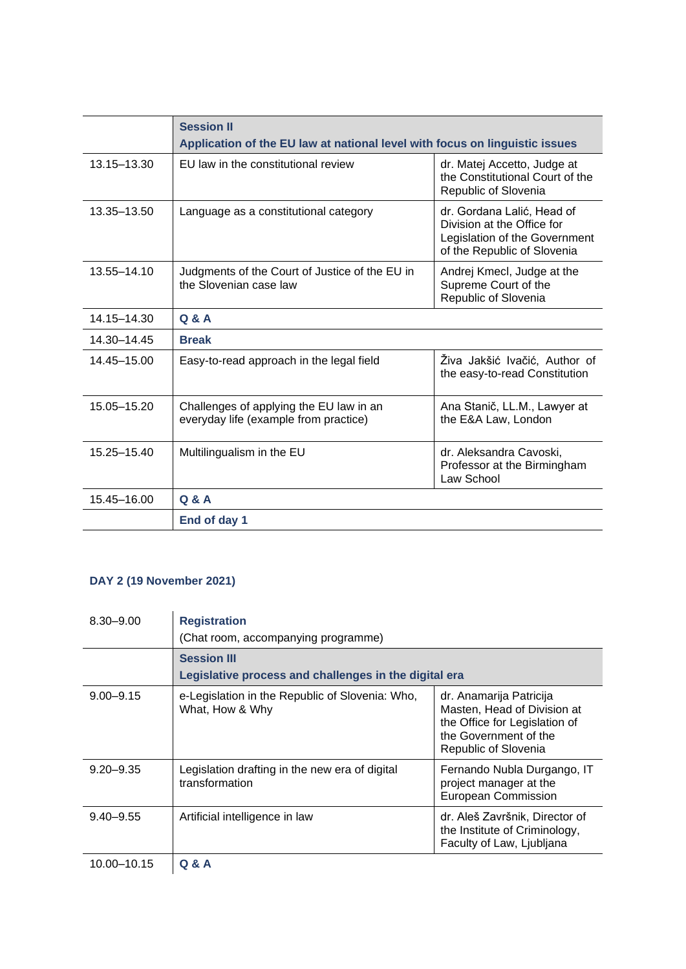|                 | <b>Session II</b><br>Application of the EU law at national level with focus on linguistic issues |                                                                                                                          |
|-----------------|--------------------------------------------------------------------------------------------------|--------------------------------------------------------------------------------------------------------------------------|
| 13.15 - 13.30   | EU law in the constitutional review                                                              | dr. Matej Accetto, Judge at<br>the Constitutional Court of the<br>Republic of Slovenia                                   |
| 13.35 - 13.50   | Language as a constitutional category                                                            | dr. Gordana Lalić, Head of<br>Division at the Office for<br>Legislation of the Government<br>of the Republic of Slovenia |
| 13.55-14.10     | Judgments of the Court of Justice of the EU in<br>the Slovenian case law                         | Andrej Kmecl, Judge at the<br>Supreme Court of the<br>Republic of Slovenia                                               |
| 14.15-14.30     | Q & A                                                                                            |                                                                                                                          |
| 14.30-14.45     | <b>Break</b>                                                                                     |                                                                                                                          |
| 14.45-15.00     | Easy-to-read approach in the legal field                                                         | Živa Jakšić Ivačić, Author of<br>the easy-to-read Constitution                                                           |
| 15.05-15.20     | Challenges of applying the EU law in an<br>everyday life (example from practice)                 | Ana Stanič, LL.M., Lawyer at<br>the E&A Law, London                                                                      |
| $15.25 - 15.40$ | Multilingualism in the EU                                                                        | dr. Aleksandra Cavoski,<br>Professor at the Birmingham<br>Law School                                                     |
| 15.45-16.00     | Q & A                                                                                            |                                                                                                                          |
|                 | End of day 1                                                                                     |                                                                                                                          |

## **DAY 2 (19 November 2021)**

| $8.30 - 9.00$ | <b>Registration</b>                                                |                                                                                                                                          |  |
|---------------|--------------------------------------------------------------------|------------------------------------------------------------------------------------------------------------------------------------------|--|
|               | (Chat room, accompanying programme)                                |                                                                                                                                          |  |
|               | <b>Session III</b>                                                 |                                                                                                                                          |  |
|               | Legislative process and challenges in the digital era              |                                                                                                                                          |  |
| $9.00 - 9.15$ | e-Legislation in the Republic of Slovenia: Who,<br>What, How & Why | dr. Anamarija Patricija<br>Masten, Head of Division at<br>the Office for Legislation of<br>the Government of the<br>Republic of Slovenia |  |
| $9.20 - 9.35$ | Legislation drafting in the new era of digital<br>transformation   | Fernando Nubla Durgango, IT<br>project manager at the<br>European Commission                                                             |  |
| $9.40 - 9.55$ | Artificial intelligence in law                                     | dr. Aleš Završnik, Director of<br>the Institute of Criminology,<br>Faculty of Law, Ljubljana                                             |  |
| 10.00-10.15   | <b>Q &amp; A</b>                                                   |                                                                                                                                          |  |